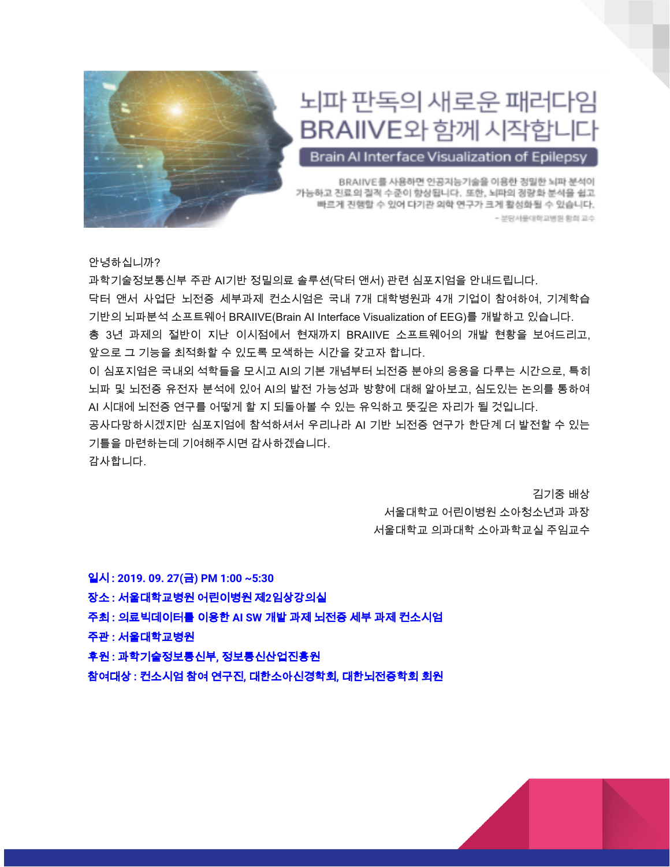

## 뇌파 판독의 새로운 패러다임 BRAIIVE와 함께 시작합니다

Brain Al Interface Visualization of Epilepsy

BRAIIVE를 사용하면 인공지능기술을 이용한 정밀한 뇌파 분석이 가능하고 진료의 질적 수준이 향상됩니다. 또한, 뇌파의 경량화 분석을 쉽고 빠르게 진행할 수 있어 다기관 의학 연구가 크게 활성화될 수 있습니다. - 분당서울대학교병원 황희 교수

안녕하십니까?

과학기술정보통신부 주관 AI기반 정밀의료 솔루션(닥터 앤서) 관련 심포지엄을 안내드립니다. 닥터 앤서 사업단 뇌전증 세부과제 컨소시엄은 국내 7개 대학병원과 4개 기업이 참여하여, 기계학습 기반의 뇌파분석 소프트웨어 BRAIIVE(Brain AI Interface Visualization of EEG)를 개발하고 있습니다. 총 3년 과제의 절반이 지난 이시점에서 현재까지 BRAIIVE 소프트웨어의 개발 현황을 보여드리고, 앞으로 그 기능을 최적화할 수 있도록 모색하는 시간을 갖고자 합니다.

이 심포지엄은 국내외 석학들을 모시고 AI의 기본 개념부터 뇌전증 분야의 응용을 다루는 시간으로, 특히 뇌파 및 뇌전증 유전자 분석에 있어 AI의 발전 가능성과 방향에 대해 알아보고, 심도있는 논의를 통하여 AI 시대에 뇌전증 연구를 어떻게 할 지 되돌아볼 수 있는 유익하고 뜻깊은 자리가 될 것입니다.

공사다망하시겠지만 심포지엄에 참석하셔서 우리나라 AI 기반 뇌전증 연구가 한단계 더 발전할 수 있는 기틀을 마련하는데 기여해주시면 감사하겠습니다.

감사합니다.

김기중 배상 서울대학교 어린이병원 소아청소년과 과장 서울대학교 의과대학 소아과학교실 주임교수

일시 **: 2019. 09. 27(**금**) PM 1:00 ~5:30** 장소 **:** 서울대학교병원 어린이병원 제**2**임상강의실 주최 **:** 의료빅데이터를 이용한 **AI SW** 개발 과제 뇌전증 세부 과제 컨소시엄 주관 **:** 서울대학교병원 후원 **:** 과학기술정보통신부**,** 정보통신산업진흥원 참여대상 **:** 컨소시엄 참여 연구진**,** 대한소아신경학회**,** 대한뇌전증학회 회원